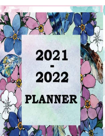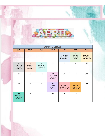

| <b>APRIL 2021</b>                                |                                     |                                      |                                  |                                                  |                                                |                                                    |  |  |  |
|--------------------------------------------------|-------------------------------------|--------------------------------------|----------------------------------|--------------------------------------------------|------------------------------------------------|----------------------------------------------------|--|--|--|
| <b>SUN</b>                                       | <b>MON</b>                          | <b>TUE</b>                           | <b>WED</b>                       | <b>THU</b>                                       | <b>FRI</b>                                     | <b>SAT</b>                                         |  |  |  |
|                                                  |                                     |                                      |                                  | $\mathbf{1}$<br><b>MAUNDY</b><br><b>THURSDAY</b> | $\overline{2}$<br><b>GOOD</b><br><b>FRIDAY</b> | $\overline{3}$<br><b>MAUNDY</b><br><b>SATURDAY</b> |  |  |  |
| $\overline{4}$<br><b>EASTER</b><br><b>SUNDAY</b> | 5<br><b>EASTER</b><br><b>MONDAY</b> | 6<br><b>SCHOOL</b><br><b>REOPENS</b> | $\overline{7}$                   | 8                                                | 9                                              | 10                                                 |  |  |  |
| 11                                               | 12                                  | 13                                   | 14<br>AMBEDKAR<br><b>JAYANTI</b> | 15                                               | 16                                             | 17                                                 |  |  |  |
| 18                                               | 19                                  | 20                                   | 21<br><b>RAM</b><br><b>NAVMI</b> | 22<br><b>WORLD</b><br><b>EARTH DAY</b>           | 23<br><b>WORLD</b><br><b>BOOK DAY</b>          | 24                                                 |  |  |  |
| 25<br><b>MAHAVIR</b><br><b>JAYANTI</b>           | 26                                  | 27                                   | 28                               | 29                                               | 30                                             |                                                    |  |  |  |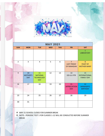

| <b>MAY 2021</b> |                              |                                                          |            |            |                                                    |                                                 |  |  |  |  |  |
|-----------------|------------------------------|----------------------------------------------------------|------------|------------|----------------------------------------------------|-------------------------------------------------|--|--|--|--|--|
| <b>SUN</b>      | <b>MON</b>                   | <b>TUE</b>                                               | <b>WED</b> | <b>THU</b> | <b>FRI</b>                                         | <b>SAT</b>                                      |  |  |  |  |  |
|                 |                              |                                                          |            |            |                                                    | 1<br><b>LABOUR DAY</b>                          |  |  |  |  |  |
| $\overline{2}$  | $\mathbf{3}$                 | $\overline{4}$                                           | 5          | 6          | $\overline{7}$<br><b>LAST FRIDAY</b><br>OF RAMADAN | 8<br><b>FEAST OF</b><br><b>MOTHER MARY</b>      |  |  |  |  |  |
| 9               | 10<br>MOTHER'S<br><b>DAY</b> | 11<br><b>NATIONAL</b><br><b>TECHNOLOGY</b><br><b>DAY</b> | 12         | 13         | 14<br>EID-UL-FITR                                  | 15<br><b>INTERNATIONAL</b><br><b>FAMILY DAY</b> |  |  |  |  |  |
| 16              | 17                           | 18                                                       | 19         | 20         | 21<br><b>APPRECIATION</b><br><b>DAY</b>            | 22<br><b>MANAGER'S</b><br><b>BIRTHDAY</b>       |  |  |  |  |  |
| 23              | 24                           | 25                                                       | 26         | 27         | 28                                                 | 29                                              |  |  |  |  |  |
| 30              | 31                           |                                                          |            |            |                                                    |                                                 |  |  |  |  |  |

❖ MAY 21 SCHOOL CLOSES FOR SUMMER BREAK

❖ NOTE:- PERIODIC TEST 1 FOR CLASSES 1-12 WILL BE CONDUCTED BEFORE SUMMER BREAK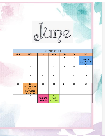

|            | <b>JUNE 2021</b>                                                              |                                          |                                      |            |            |                                                       |  |  |  |
|------------|-------------------------------------------------------------------------------|------------------------------------------|--------------------------------------|------------|------------|-------------------------------------------------------|--|--|--|
| <b>SUN</b> | <b>MON</b>                                                                    | <b>TUE</b>                               | <b>WED</b>                           | <b>THU</b> | <b>FRI</b> | <b>SAT</b>                                            |  |  |  |
|            |                                                                               | $\mathbf{1}$                             | $\overline{2}$                       | 3          | 4          | 5<br><b>WORLD</b><br><b>ENVIRONMENT</b><br><b>DAY</b> |  |  |  |
| 6          | $\overline{7}$                                                                | 8                                        | 9                                    | 10         | 11         | 12                                                    |  |  |  |
| 13         | 14                                                                            | 15                                       | 16                                   | 17         | 18         | 19                                                    |  |  |  |
| 20         | 21<br><b>INTERNATIONAL</b><br><b>YOGA</b><br>DAY/WORLD<br><b>FATHER'S DAY</b> | 22                                       | 23                                   | 24         | 25         | 26                                                    |  |  |  |
| 27         | 28                                                                            | 29<br><b>TEACHER'S</b><br><b>SEMINAR</b> | 30<br><b>STAFF</b><br><b>MEETING</b> |            |            |                                                       |  |  |  |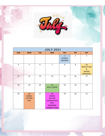

|                | <b>JULY 2021</b>                                    |            |                                                                                                           |                                                 |                |                                                                                      |  |  |  |  |
|----------------|-----------------------------------------------------|------------|-----------------------------------------------------------------------------------------------------------|-------------------------------------------------|----------------|--------------------------------------------------------------------------------------|--|--|--|--|
| <b>SUN</b>     | <b>MON</b>                                          | <b>TUE</b> | <b>WED</b>                                                                                                | <b>THU</b>                                      | <b>FRI</b>     | <b>SAT</b>                                                                           |  |  |  |  |
|                |                                                     |            |                                                                                                           | $\mathbf{1}$<br><b>SCHOOL</b><br><b>REOPENS</b> | $\overline{2}$ | 3                                                                                    |  |  |  |  |
| $\overline{4}$ | 5                                                   | 6          | $\overline{7}$                                                                                            | 8                                               | 9              | 10<br><b>INVESTITURE</b><br>$\boldsymbol{\alpha}$<br><b>AWARD</b><br><b>CEREMONY</b> |  |  |  |  |
| 11             | 12                                                  | 13         | 14                                                                                                        | 15                                              | 16             | 17                                                                                   |  |  |  |  |
| 18             | 19                                                  | 20         | 21<br>EID-UL-ADHA                                                                                         | 22                                              | 23             | 24                                                                                   |  |  |  |  |
| 25             | 26<br><b>KARGIL</b><br><b>VICTORY</b><br><b>DAY</b> | 27         | 28<br><b>WORLD</b><br><b>NATURE</b><br><b>COSERVATION</b><br>DAY/<br><b>DRAWING</b><br><b>COMPETITION</b> | 29                                              | 30             | 31                                                                                   |  |  |  |  |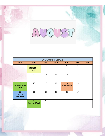AUCUST

| <b>AUGUST 2021</b>                      |                                                   |            |            |                       |            |                |  |  |  |
|-----------------------------------------|---------------------------------------------------|------------|------------|-----------------------|------------|----------------|--|--|--|
| <b>SUN</b>                              | <b>MON</b>                                        | <b>TUE</b> | <b>WED</b> | <b>THU</b>            | <b>FRI</b> | <b>SAT</b>     |  |  |  |
| $\mathbf{1}$                            | $\overline{2}$<br><b>FRIENDSHIP</b><br><b>DAY</b> | 3          | 4          | 5                     | 6          | $\overline{7}$ |  |  |  |
| 8                                       | 9                                                 | 10         | 11         | 12                    | 13         | 14             |  |  |  |
| 15<br><b>INDEPENDENCE</b><br><b>DAY</b> | 16                                                | 17         | 18         | 19<br><b>MOHARRAM</b> | 20         | 21             |  |  |  |
| 22<br><b>RAKSHA</b><br><b>BANDHAN</b>   | 23                                                | 24         | 25         | 26                    | 27         | 28             |  |  |  |
| 29                                      | 30<br><b>JANMASHTAMI</b>                          | 31         |            |                       |            |                |  |  |  |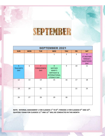## SEPTEMBER

| <b>SEPTEMBER 2021</b>                            |            |                                                    |                                                                                                      |                |            |                                                                                         |  |  |  |  |
|--------------------------------------------------|------------|----------------------------------------------------|------------------------------------------------------------------------------------------------------|----------------|------------|-----------------------------------------------------------------------------------------|--|--|--|--|
| <b>SUN</b>                                       | <b>MON</b> | <b>TUE</b>                                         | <b>WED</b>                                                                                           | <b>THU</b>     | <b>FRI</b> | <b>SAT</b>                                                                              |  |  |  |  |
|                                                  |            |                                                    | $\mathbf{1}$                                                                                         | $\overline{2}$ | 3          | $\overline{4}$<br><b>ST.MOTHER</b><br><b>TERESA'S</b><br><b>SAINTHOOD</b><br><b>DAY</b> |  |  |  |  |
| 5 <sup>1</sup><br><b>TEACHER'S</b><br><b>DAY</b> | 6          | $\overline{7}$<br><b>FORGIVENESS</b><br><b>DAY</b> | 8<br><b>MOTHER</b><br>MARY'S<br><b>BIRTHDAY &amp;</b><br><b>INTERNATIONAL</b><br><b>LITERACY DAY</b> | 9              | 10         | 11                                                                                      |  |  |  |  |
| 12                                               | 13         | 14                                                 | 15                                                                                                   | 16             | 17         | 18                                                                                      |  |  |  |  |
| 19                                               | 20         | 21                                                 |                                                                                                      |                | 22         | 23                                                                                      |  |  |  |  |
| 26                                               | 27         | 28                                                 | 29                                                                                                   | 30             |            |                                                                                         |  |  |  |  |

**NOTE: INTERNAL ASSESSMENT 1 FOR CLASSESS 1ST TO 8TH, PERIODIC 2 FOR CLASSESS 9TH AND 10TH , QUATERLY EXAM FOR CLASSESS 11TH AND 12TH WILL BE CONDUCTED IN THIS MONTH**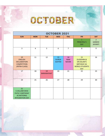

| <b>OCTOBER 2021</b>                                                                                    |            |                         |                                     |                                  |                                                                                                               |                                                   |  |  |  |
|--------------------------------------------------------------------------------------------------------|------------|-------------------------|-------------------------------------|----------------------------------|---------------------------------------------------------------------------------------------------------------|---------------------------------------------------|--|--|--|
| <b>SUN</b>                                                                                             | <b>MON</b> | <b>TUE</b>              | <b>WED</b>                          | <b>THU</b>                       | <b>FRI</b>                                                                                                    | <b>SAT</b>                                        |  |  |  |
|                                                                                                        |            |                         |                                     |                                  | $\mathbf{1}$<br><b>PRINCIPAL'S</b><br><b>DAY</b>                                                              | $\overline{2}$<br><b>GANDHI</b><br><b>JAYANTI</b> |  |  |  |
| $\overline{3}$                                                                                         | 4          | 5                       | 6                                   | $\overline{7}$                   | 8                                                                                                             | 9                                                 |  |  |  |
| 10<br><b>ENGLISH</b><br><b>DECLAMATION</b><br><b>COMPETITION</b><br>(INTRA-CLASS)                      | 11         | 12                      | 13<br><b>DURGA</b><br><b>ASHTMI</b> | 14<br><b>RAM</b><br><b>NAVMI</b> | 15<br><b>DUSSEHRA &amp;</b><br><b>DR.KALAM'S</b><br><b>BIRTHDAY AS</b><br><b>WORLD STUDENTS</b><br><b>DAY</b> | 16                                                |  |  |  |
| 17                                                                                                     | 18         | 19<br><b>BARAWAFAAT</b> | 20                                  | 21                               | 22                                                                                                            | 23                                                |  |  |  |
| 24                                                                                                     | 25         | 26                      | 27                                  | 28                               | 29                                                                                                            | 30                                                |  |  |  |
| 31<br><b>S.VALLABH BHAI</b><br><b>PATEL'S BIRTHDAY</b><br><b>AS NATIONAL</b><br><b>INTEGRATION DAY</b> |            |                         |                                     |                                  |                                                                                                               |                                                   |  |  |  |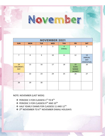- ◆ 3<sup>RD</sup> NOVEMBER TO 6<sup>TH</sup> NOVEMBER DIWALI HOLIDAYS
- ❖ HALF YEARLY EXAMS FOR CLASSESS 11 AND 12TH
- ❖ PERIODIC 3 FOR CLASSESS 9TH AND 10TH
- ❖ PERIODIC 3 FOR CLASSESS 1ST TO 8TH
- 

NOTE: NOVEMBER (LAST WEEK)

| <b>SUN</b>                            | <b>MON</b>   | <b>TUE</b>     | <b>WED</b> | <b>THU</b>                      | <b>FRI</b>                                          | <b>SAT</b>                                       |
|---------------------------------------|--------------|----------------|------------|---------------------------------|-----------------------------------------------------|--------------------------------------------------|
|                                       | $\mathbf{1}$ | $\overline{2}$ | 3          | $\overline{4}$<br><b>DIWALI</b> | 5                                                   | $\boldsymbol{6}$                                 |
| $\overline{7}$                        | 8            | 9              | 10         | $11\,$                          | 12                                                  | 13<br><b>ANNUAL</b><br><b>DAY</b><br>(TENTATIVE) |
| 14<br><b>CHILDREN'S</b><br><b>DAY</b> | 15           | 16             | 17         | 18                              | 19<br><b>GURU</b><br><b>NANAK</b><br><b>JAYANTI</b> | 20                                               |
| 21                                    | 22           | 23             | 24         | 25                              | 26                                                  | 27                                               |
| 28                                    | 29           | 30             |            |                                 |                                                     |                                                  |

NOVEMBER 2021

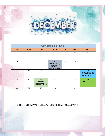

| <b>DECEMBER 2021</b> |            |                                               |                                                           |                |            |                                                  |  |  |  |
|----------------------|------------|-----------------------------------------------|-----------------------------------------------------------|----------------|------------|--------------------------------------------------|--|--|--|
| <b>SUN</b>           | <b>MON</b> | <b>TUE</b>                                    | <b>WED</b>                                                | <b>THU</b>     | <b>FRI</b> | <b>SAT</b>                                       |  |  |  |
|                      |            |                                               | $\mathbf{1}$                                              | $\overline{2}$ | 3          | 4                                                |  |  |  |
| 5                    | 6          | $\overline{7}$                                | 8<br>SCHOOL DAY/<br><b>FEAST OF</b><br><b>MOTHER MARY</b> | 9              | 10         | 11                                               |  |  |  |
| 12                   | 13         | 14                                            | 15                                                        | 16             | 17         | 18<br><b>CAROL SINGING</b><br><b>COMPETITION</b> |  |  |  |
| 19                   | 20         | 21<br><b>CHRISTMAS</b><br><b>CELEBERATION</b> | 22                                                        | 23             | 24         | 25<br><b>CHRISTMAS</b>                           |  |  |  |
| 26                   | 27         | 28                                            | 29                                                        | 30             | 31         |                                                  |  |  |  |

❖ NOTE: CHRISTMAS HOLIDAYS - DECEMBER 22 TO JANUARY 1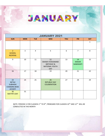

| <b>JANUARY 2021</b>                                                            |                |                |                                                                          |            |                                        |              |  |  |  |
|--------------------------------------------------------------------------------|----------------|----------------|--------------------------------------------------------------------------|------------|----------------------------------------|--------------|--|--|--|
| <b>SUN</b>                                                                     | <b>MON</b>     | <b>TUE</b>     | <b>WED</b>                                                               | <b>THU</b> | <b>FRI</b>                             | <b>SAT</b>   |  |  |  |
|                                                                                |                |                |                                                                          |            |                                        | $\mathbf{1}$ |  |  |  |
| $\overline{2}$<br><b>SCHOOL</b><br><b>REOPENS</b>                              | $\overline{3}$ | $\overline{4}$ | 5                                                                        | 6          | $\overline{7}$                         | 8            |  |  |  |
| 9                                                                              | 10             | 11             | 12<br>SWAMI VIVEKANAND<br><b>BIRTHDAY &amp;</b><br>NATIONAL YOUTH<br>DAY | 13         | 14<br><b>MAKAR</b><br><b>SANKRANTI</b> | 15           |  |  |  |
| 16                                                                             | 17             | 18             | 19                                                                       | 20         | 21                                     | 22           |  |  |  |
| 23<br><b>NETAJI</b><br><b>SUBHASH</b><br><b>CHANDRA BOSE</b><br><b>JAYANTI</b> | 24             | 25             | 26<br><b>REPUBLIC DAY</b><br><b>CELEBERATION</b>                         | 27         | 28                                     | 29           |  |  |  |
| 30<br><b>MATYR'S DAY</b>                                                       | 31             |                |                                                                          |            |                                        |              |  |  |  |

NOTE: PERIODIC 4 FOR CLASSESS  $1^{ST}$  TO  $8^{TH}$ , PREBOARD FOR CLASSESS  $10^{TH}$  AND  $12^{TH}$  WILL BE CONDUCTED IN THIS MONTH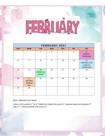

| <b>FEBRUARY 2021</b> |                                                    |                                           |                |            |            |                                                              |  |  |  |  |
|----------------------|----------------------------------------------------|-------------------------------------------|----------------|------------|------------|--------------------------------------------------------------|--|--|--|--|
| <b>SUN</b>           | <b>MON</b>                                         | <b>TUE</b>                                | <b>WED</b>     | <b>THU</b> | <b>FRI</b> | <b>SAT</b>                                                   |  |  |  |  |
|                      |                                                    | $\mathbf{1}$                              | $\overline{2}$ | 3          | 4          | 5<br><b>BASANT</b><br><b>PANCHAMI</b>                        |  |  |  |  |
| 6                    | $\overline{7}$                                     | 8                                         | 9              | 10         | 11         | 12<br><b>FAREWELL FOR</b><br><b>CLASS XII</b><br>(TENTATIVE) |  |  |  |  |
| 13                   | 14                                                 | 15<br><b>HAZRAT ALI</b><br><b>JAYANTI</b> | 16             | 17         | 18         | 19                                                           |  |  |  |  |
| 20                   | 21<br><b>MOTHER</b><br><b>TONGUE</b><br><b>DAY</b> | 22                                        | 23             | 24         | 25         | 26                                                           |  |  |  |  |
| 27                   | 28                                                 |                                           |                |            |            |                                                              |  |  |  |  |

NOTE: FEBRUARY (LAST WEEK)

TERM 2 FOR CLASSESS 1 $^{\rm ST}$  TO 8 $^{\rm TH}$ , PRACTICAL EXAM FOR CLASS 10 $^{\rm TH}$ , ANNUAL EXAM FOR CLASSESS 9 $^{\rm TH}$ AND 11<sup>TH</sup>, PRACTICALEXAM FOR CLASS 12<sup>TH</sup>